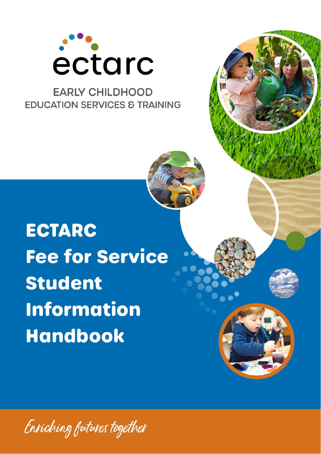

# **EARLY CHILDHOOD EDUCATION SERVICES & TRAINING**

**ECTARC Fee for Service Student Information Handbook** 

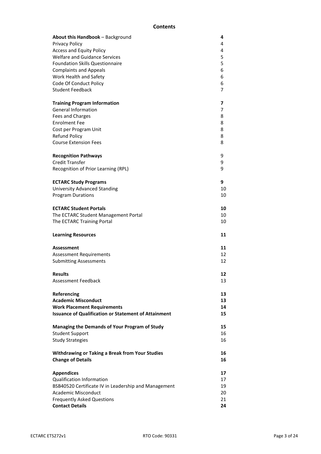## **Contents**

| <b>About this Handbook</b> – Background                     | 4  |
|-------------------------------------------------------------|----|
| Privacy Policy                                              | 4  |
| <b>Access and Equity Policy</b>                             | 4  |
| <b>Welfare and Guidance Services</b>                        | 5  |
| <b>Foundation Skills Questionnaire</b>                      | 5  |
| <b>Complaints and Appeals</b>                               | 6  |
| Work Health and Safety                                      | 6  |
| Code Of Conduct Policy                                      | 6  |
| <b>Student Feedback</b>                                     | 7  |
| <b>Training Program Information</b>                         | 7  |
| <b>General Information</b>                                  | 7  |
| Fees and Charges                                            | 8  |
| <b>Enrolment Fee</b>                                        | 8  |
| Cost per Program Unit                                       | 8  |
| <b>Refund Policy</b>                                        | 8  |
| <b>Course Extension Fees</b>                                | 8  |
| <b>Recognition Pathways</b>                                 | 9  |
| <b>Credit Transfer</b>                                      | 9  |
| Recognition of Prior Learning (RPL)                         | 9  |
| <b>ECTARC Study Programs</b>                                | 9  |
| <b>University Advanced Standing</b>                         | 10 |
| <b>Program Durations</b>                                    | 10 |
| <b>ECTARC Student Portals</b>                               | 10 |
| The ECTARC Student Management Portal                        | 10 |
| The ECTARC Training Portal                                  | 10 |
| <b>Learning Resources</b>                                   | 11 |
| Assessment                                                  | 11 |
| <b>Assessment Requirements</b>                              | 12 |
| <b>Submitting Assessments</b>                               | 12 |
| <b>Results</b>                                              | 12 |
| Assessment Feedback                                         | 13 |
| Referencing                                                 | 13 |
| <b>Academic Misconduct</b>                                  | 13 |
| <b>Work Placement Requirements</b>                          | 14 |
| <b>Issuance of Qualification or Statement of Attainment</b> | 15 |
| Managing the Demands of Your Program of Study               | 15 |
| <b>Student Support</b>                                      | 16 |
| <b>Study Strategies</b>                                     | 16 |
| <b>Withdrawing or Taking a Break from Your Studies</b>      | 16 |
| <b>Change of Details</b>                                    | 16 |
| <b>Appendices</b>                                           | 17 |
| <b>Qualification Information</b>                            | 17 |
| BSB40520 Certificate IV in Leadership and Management        | 19 |
| <b>Academic Misconduct</b>                                  | 20 |
| <b>Frequently Asked Questions</b>                           | 21 |
| <b>Contact Details</b>                                      | 24 |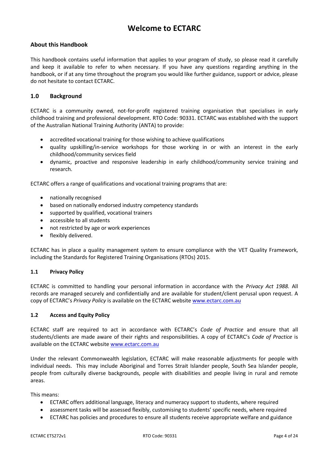## **Welcome to ECTARC**

## **About this Handbook**

This handbook contains useful information that applies to your program of study, so please read it carefully and keep it available to refer to when necessary. If you have any questions regarding anything in the handbook, or if at any time throughout the program you would like further guidance, support or advice, please do not hesitate to contact ECTARC.

## **1.0 Background**

ECTARC is a community owned, not-for-profit registered training organisation that specialises in early childhood training and professional development. RTO Code: 90331. ECTARC was established with the support of the Australian National Training Authority (ANTA) to provide:

- accredited vocational training for those wishing to achieve qualifications
- quality upskilling/in-service workshops for those working in or with an interest in the early childhood/community services field
- dynamic, proactive and responsive leadership in early childhood/community service training and research.

ECTARC offers a range of qualifications and vocational training programs that are:

- nationally recognised
- based on nationally endorsed industry competency standards
- supported by qualified, vocational trainers
- accessible to all students
- not restricted by age or work experiences
- flexibly delivered.

ECTARC has in place a quality management system to ensure compliance with the VET Quality Framework, including the Standards for Registered Training Organisations (RTOs) 2015.

## **1.1 Privacy Policy**

ECTARC is committed to handling your personal information in accordance with the *Privacy Act 1988.* All records are managed securely and confidentially and are available for student/client perusal upon request. A copy of ECTARC's *Privacy Policy* is available on the ECTARC website [www.ectarc.com.au](http://www.ectarc.com.au/)

#### **1.2 Access and Equity Policy**

ECTARC staff are required to act in accordance with ECTARC's *Code of Practice* and ensure that all students/clients are made aware of their rights and responsibilities. A copy of ECTARC's *Code of Practice* is available on the ECTARC website [www.ectarc.com.au](http://www.ectarc.com.au/)

Under the relevant Commonwealth legislation, ECTARC will make reasonable adjustments for people with individual needs. This may include Aboriginal and Torres Strait Islander people, South Sea Islander people, people from culturally diverse backgrounds, people with disabilities and people living in rural and remote areas.

This means:

- ECTARC offers additional language, literacy and numeracy support to students, where required
- assessment tasks will be assessed flexibly, customising to students' specific needs, where required
- ECTARC has policies and procedures to ensure all students receive appropriate welfare and guidance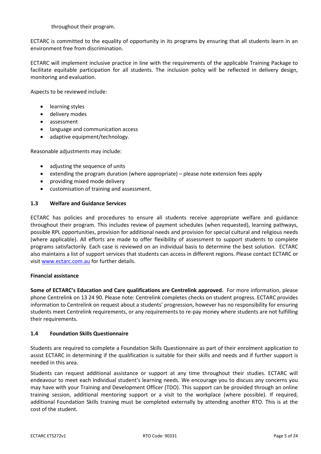throughout their program.

ECTARC is committed to the equality of opportunity in its programs by ensuring that all students learn in an environment free from discrimination.

ECTARC will implement inclusive practice in line with the requirements of the applicable Training Package to facilitate equitable participation for all students. The inclusion policy will be reflected in delivery design, monitoring and evaluation.

Aspects to be reviewed include:

- learning styles
- delivery modes
- assessment
- language and communication access
- adaptive equipment/technology.

Reasonable adjustments may include:

- adjusting the sequence of units
- extending the program duration (where appropriate) please note extension fees apply
- providing mixed mode delivery
- customisation of training and assessment.

## **1.3 Welfare and Guidance Services**

ECTARC has policies and procedures to ensure all students receive appropriate welfare and guidance throughout their program. This includes review of payment schedules (when requested), learning pathways, possible RPL opportunities, provision for additional needs and provision for special cultural and religious needs (where applicable). All efforts are made to offer flexibility of assessment to support students to complete programs satisfactorily. Each case is reviewed on an individual basis to determine the best solution. ECTARC also maintains a list of support services that students can access in different regions. Please contact ECTARC or visit [www.ectarc.com.au](http://www.ectarc.com.au/) for further details.

## **Financial assistance**

**Some of ECTARC's Education and Care qualifications are Centrelink approved.** For more information, please phone Centrelink on 13 24 90. Please note: Centrelink completes checks on student progress. ECTARC provides information to Centrelink on request about a students' progression, however has no responsibility for ensuring students meet Centrelink requirements, or any requirements to re-pay money where students are not fulfilling their requirements.

## **1.4 Foundation Skills Questionnaire**

Students are required to complete a Foundation Skills Questionnaire as part of their enrolment application to assist ECTARC in determining if the qualification is suitable for their skills and needs and if further support is needed in this area.

Students can request additional assistance or support at any time throughout their studies. ECTARC will endeavour to meet each individual student's learning needs. We encourage you to discuss any concerns you may have with your Training and Development Officer (TDO). This support can be provided through an online training session, additional mentoring support or a visit to the workplace (where possible). If required, additional Foundation Skills training must be completed externally by attending another RTO. This is at the cost of the student.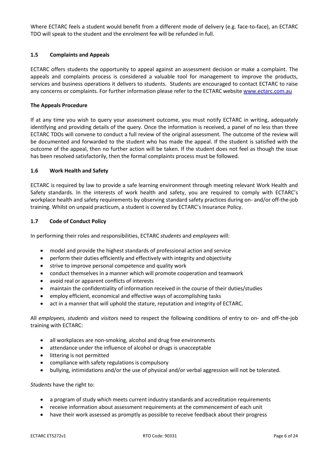Where ECTARC feels a student would benefit from a different mode of delivery (e.g. face-to-face), an ECTARC TDO will speak to the student and the enrolment fee will be refunded in full.

## **1.5 Complaints and Appeals**

ECTARC offers students the opportunity to appeal against an assessment decision or make a complaint. The appeals and complaints process is considered a valuable tool for management to improve the products, services and business operations it delivers to students. Students are encouraged to contact ECTARC to raise any concerns or complaints. For further information please refer to the ECTARC websit[e www.ectarc.com.au](http://www.ectarc.com.au/)

## **The Appeals Procedure**

If at any time you wish to query your assessment outcome, you must notify ECTARC in writing, adequately identifying and providing details of the query. Once the information is received, a panel of no less than three ECTARC TDOs will convene to conduct a full review of the original assessment. The outcome of the review will be documented and forwarded to the student who has made the appeal. If the student is satisfied with the outcome of the appeal, then no further action will be taken. If the student does not feel as though the issue has been resolved satisfactorily, then the formal complaints process must be followed.

## **1.6 Work Health and Safety**

ECTARC is required by law to provide a safe learning environment through meeting relevant Work Health and Safety standards. In the interests of work health and safety, you are required to comply with ECTARC's workplace health and safety requirements by observing standard safety practices during on- and/or off-the-job training. Whilst on unpaid practicum, a student is covered by ECTARC's Insurance Policy.

## **1.7 Code of Conduct Policy**

In performing their roles and responsibilities, ECTARC *students* and *employees* will:

- model and provide the highest standards of professional action and service
- perform their duties efficiently and effectively with integrity and objectivity
- strive to improve personal competence and quality work
- conduct themselves in a manner which will promote cooperation and teamwork
- avoid real or apparent conflicts of interests
- maintain the confidentiality of information received in the course of their duties/studies
- employ efficient, economical and effective ways of accomplishing tasks
- act in a manner that will uphold the stature, reputation and integrity of ECTARC.

All *employees, students* and *visitors* need to respect the following conditions of entry to on- and off-the-job training with ECTARC:

- all workplaces are non-smoking, alcohol and drug free environments
- attendance under the influence of alcohol or drugs is unacceptable
- littering is not permitted
- compliance with safety regulations is compulsory
- bullying, intimidations and/or the use of physical and/or verbal aggression will not be tolerated.

*Students* have the right to:

- a program of study which meets current industry standards and accreditation requirements
- receive information about assessment requirements at the commencement of each unit
- have their work assessed as promptly as possible to receive feedback about their progress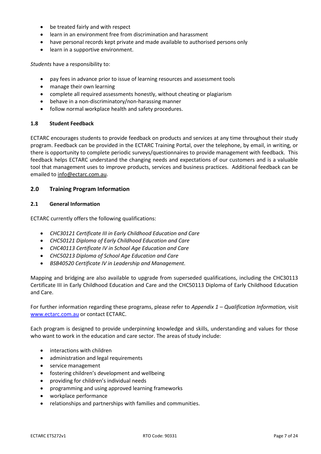- be treated fairly and with respect
- learn in an environment free from discrimination and harassment
- have personal records kept private and made available to authorised persons only
- learn in a supportive environment.

*Students* have a responsibility to:

- pay fees in advance prior to issue of learning resources and assessment tools
- manage their own learning
- complete all required assessments honestly, without cheating or plagiarism
- behave in a non-discriminatory/non-harassing manner
- follow normal workplace health and safety procedures.

#### **1.8 Student Feedback**

ECTARC encourages students to provide feedback on products and services at any time throughout their study program. Feedback can be provided in the ECTARC Training Portal, over the telephone, by email, in writing, or there is opportunity to complete periodic surveys/questionnaires to provide management with feedback. This feedback helps ECTARC understand the changing needs and expectations of our customers and is a valuable tool that management uses to improve products, services and business practices. Additional feedback can be emailed to [info@ectarc.com.au.](mailto:info@ectarc.com.au)

## **2.0 Training Program Information**

#### **2.1 General Information**

ECTARC currently offers the following qualifications:

- *CHC30121 Certificate III in Early Childhood Education and Care*
- *CHC50121 Diploma of Early Childhood Education and Care*
- *CHC40113 Certificate IV in School Age Education and Care*
- *CHC50213 Diploma of School Age Education and Care*
- *BSB40520 Certificate IV in Leadership and Management.*

Mapping and bridging are also available to upgrade from superseded qualifications, including the CHC30113 Certificate III in Early Childhood Education and Care and the CHC50113 Diploma of Early Childhood Education and Care.

For further information regarding these programs, please refer to *Appendix 1 – Qualification Information,* visit [www.ectarc.com.au](http://www.ectarc.com.au/) or contact ECTARC.

Each program is designed to provide underpinning knowledge and skills, understanding and values for those who want to work in the education and care sector. The areas of study include:

- interactions with children
- administration and legal requirements
- service management
- fostering children's development and wellbeing
- providing for children's individual needs
- programming and using approved learning frameworks
- workplace performance
- relationships and partnerships with families and communities.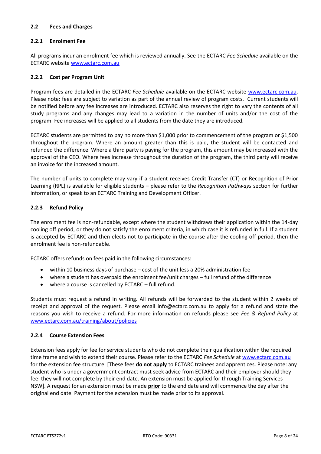## **2.2 Fees and Charges**

## **2.2.1 Enrolment Fee**

All programs incur an enrolment fee which is reviewed annually. See the ECTARC *Fee Schedule* available on the ECTARC website [www.ectarc.com.au](http://www.ectarc.com.au/)

## **2.2.2 Cost per Program Unit**

Program fees are detailed in the ECTARC *Fee Schedule* available on the ECTARC website [www.ectarc.com.au.](http://www.ectarc.com.au/) Please note: fees are subject to variation as part of the annual review of program costs. Current students will be notified before any fee increases are introduced. ECTARC also reserves the right to vary the contents of all study programs and any changes may lead to a variation in the number of units and/or the cost of the program. Fee increases will be applied to all students from the date they are introduced.

ECTARC students are permitted to pay no more than \$1,000 prior to commencement of the program or \$1,500 throughout the program. Where an amount greater than this is paid, the student will be contacted and refunded the difference. Where a third party is paying for the program, this amount may be increased with the approval of the CEO. Where fees increase throughout the duration of the program, the third party will receive an invoice for the increased amount.

The number of units to complete may vary if a student receives Credit Transfer (CT) or Recognition of Prior Learning (RPL) is available for eligible students – please refer to the *Recognition Pathways* section for further information, or speak to an ECTARC Training and Development Officer.

## **2.2.3 Refund Policy**

The enrolment fee is non-refundable, except where the student withdraws their application within the 14-day cooling off period, or they do not satisfy the enrolment criteria, in which case it is refunded in full. If a student is accepted by ECTARC and then elects not to participate in the course after the cooling off period, then the enrolment fee is non-refundable.

ECTARC offers refunds on fees paid in the following circumstances:

- within 10 business days of purchase cost of the unit less a 20% administration fee
- where a student has overpaid the enrolment fee/unit charges full refund of the difference
- where a course is cancelled by ECTARC full refund.

Students must request a refund in writing. All refunds will be forwarded to the student within 2 weeks of receipt and approval of the request. Please email [info@ectarc.com.au](mailto:info@ectarc.com.au) to apply for a refund and state the reasons you wish to receive a refund. For more information on refunds please see *Fee & Refund Policy* at [www.ectarc.com.au/training/about/policies](http://www.ectarc.com.au/training/about/policies)

## **2.2.4 Course Extension Fees**

Extension fees apply for fee for service students who do not complete their qualification within the required time frame and wish to extend their course. Please refer to the ECTARC *Fee Schedule* at [www.ectarc.com.au](http://www.ectarc.com.au/) for the extension fee structure. [These fees **do not apply** to ECTARC trainees and apprentices. Please note: any student who is under a government contract must seek advice from ECTARC and their employer should they feel they will not complete by their end date. An extension must be applied for through Training Services NSW]. A request for an extension must be made **prior** to the end date and will commence the day after the original end date. Payment for the extension must be made prior to its approval.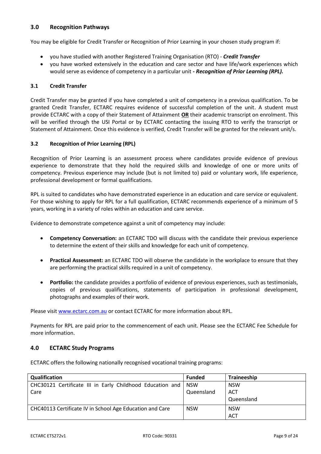## **3.0 Recognition Pathways**

You may be eligible for Credit Transfer or Recognition of Prior Learning in your chosen study program if:

- you have studied with another Registered Training Organisation (RTO) *Credit Transfer*
- you have worked extensively in the education and care sector and have life/work experiences which would serve as evidence of competency in a particular unit *- Recognition of Prior Learning (RPL).*

## **3.1 Credit Transfer**

Credit Transfer may be granted if you have completed a unit of competency in a previous qualification. To be granted Credit Transfer, ECTARC requires evidence of successful completion of the unit. A student must provide ECTARC with a copy of their Statement of Attainment **OR** their academic transcript on enrolment. This will be verified through the USI Portal or by ECTARC contacting the issuing RTO to verify the transcript or Statement of Attainment. Once this evidence is verified, Credit Transfer will be granted for the relevant unit/s.

## **3.2 Recognition of Prior Learning (RPL)**

Recognition of Prior Learning is an assessment process where candidates provide evidence of previous experience to demonstrate that they hold the required skills and knowledge of one or more units of competency. Previous experience may include (but is not limited to) paid or voluntary work, life experience, professional development or formal qualifications.

RPL is suited to candidates who have demonstrated experience in an education and care service or equivalent. For those wishing to apply for RPL for a full qualification, ECTARC recommends experience of a minimum of 5 years, working in a variety of roles within an education and care service.

Evidence to demonstrate competence against a unit of competency may include:

- **Competency Conversation:** an ECTARC TDO will discuss with the candidate their previous experience to determine the extent of their skills and knowledge for each unit of competency.
- **Practical Assessment:** an ECTARC TDO will observe the candidate in the workplace to ensure that they are performing the practical skills required in a unit of competency.
- **Portfolio:** the candidate provides a portfolio of evidence of previous experiences, such as testimonials, copies of previous qualifications, statements of participation in professional development, photographs and examples of their work.

Please visit [www.ectarc.com.au](http://www.ectarc.com.au/) or contact ECTARC for more information about RPL.

Payments for RPL are paid prior to the commencement of each unit. Please see the ECTARC Fee Schedule for more information.

## **4.0 ECTARC Study Programs**

ECTARC offers the following nationally recognised vocational training programs:

| Qualification                                             | <b>Funded</b> | <b>Traineeship</b> |
|-----------------------------------------------------------|---------------|--------------------|
| CHC30121 Certificate III in Early Childhood Education and | <b>NSW</b>    | <b>NSW</b>         |
| Care                                                      | Queensland    | <b>ACT</b>         |
|                                                           |               | Queensland         |
| CHC40113 Certificate IV in School Age Education and Care  | <b>NSW</b>    | <b>NSW</b>         |
|                                                           |               | <b>ACT</b>         |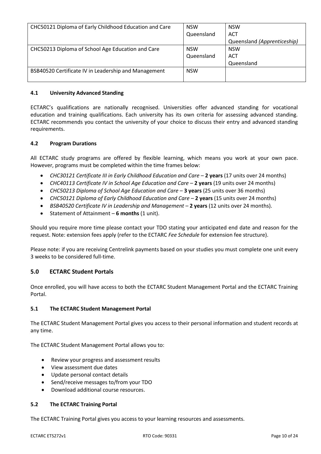| CHC50121 Diploma of Early Childhood Education and Care | <b>NSW</b> | <b>NSW</b>                  |
|--------------------------------------------------------|------------|-----------------------------|
|                                                        | Queensland | ACT                         |
|                                                        |            | Queensland (Apprenticeship) |
| CHC50213 Diploma of School Age Education and Care      | <b>NSW</b> | <b>NSW</b>                  |
|                                                        | Queensland | <b>ACT</b>                  |
|                                                        |            | Queensland                  |
| BSB40520 Certificate IV in Leadership and Management   | <b>NSW</b> |                             |
|                                                        |            |                             |

## **4.1 University Advanced Standing**

ECTARC's qualifications are nationally recognised. Universities offer advanced standing for vocational education and training qualifications. Each university has its own criteria for assessing advanced standing. ECTARC recommends you contact the university of your choice to discuss their entry and advanced standing requirements.

## **4.2 Program Durations**

All ECTARC study programs are offered by flexible learning, which means you work at your own pace. However, programs must be completed within the time frames below:

- *CHC30121 Certificate III in Early Childhood Education and Care* **2 years** (17 units over 24 months)
- *CHC40113 Certificate IV in School Age Education and Care* **2 years** (19 units over 24 months)
- *CHC50213 Diploma of School Age Education and Care* **3 years** (25 units over 36 months)
- *CHC50121 Diploma of Early Childhood Education and Care* **2 years** (15 units over 24 months)
- *BSB40520 Certificate IV in Leadership and Management* **2 years** (12 units over 24 months).
- Statement of Attainment **6 months** (1 unit).

Should you require more time please contact your TDO stating your anticipated end date and reason for the request. Note: extension fees apply (refer to the ECTARC *Fee Schedule* for extension fee structure).

Please note: if you are receiving Centrelink payments based on your studies you must complete one unit every 3 weeks to be considered full-time.

## **5.0 ECTARC Student Portals**

Once enrolled, you will have access to both the ECTARC Student Management Portal and the ECTARC Training Portal.

## **5.1 The ECTARC Student Management Portal**

The ECTARC Student Management Portal gives you access to their personal information and student records at any time.

The ECTARC Student Management Portal allows you to:

- Review your progress and assessment results
- View assessment due dates
- Update personal contact details
- Send/receive messages to/from your TDO
- Download additional course resources.

## **5.2 The ECTARC Training Portal**

The ECTARC Training Portal gives you access to your learning resources and assessments.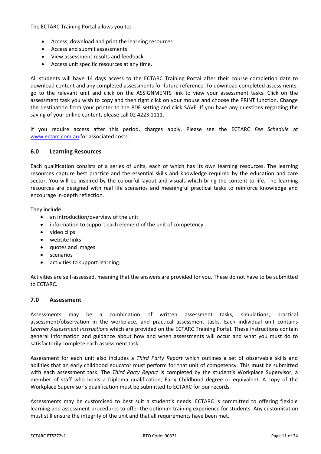The ECTARC Training Portal allows you to:

- Access, download and print the learning resources
- Access and submit assessments
- View assessment results and feedback
- Access unit specific resources at any time.

All students will have 14 days access to the ECTARC Training Portal after their course completion date to download content and any completed assessments for future reference. To download completed assessments, go to the relevant unit and click on the ASSIGNMENTS link to view your assessment tasks. Click on the assessment task you wish to copy and then right click on your mouse and choose the PRINT function. Change the destination from your printer to the PDF setting and click SAVE. If you have any questions regarding the saving of your online content, please call 02 4223 1111.

If you require access after this period, charges apply. Please see the ECTARC *Fee Schedule* at [www.ectarc.com.au](http://www.ectarc.com.au/) for associated costs.

#### **6.0 Learning Resources**

Each qualification consists of a series of units, each of which has its own learning resources. The learning resources capture best practice and the essential skills and knowledge required by the education and care sector. You will be inspired by the colourful layout and visuals which bring the content to life. The learning resources are designed with real life scenarios and meaningful practical tasks to reinforce knowledge and encourage in-depth reflection.

They include:

- an introduction/overview of the unit
- information to support each element of the unit of competency
- video clips
- website links
- quotes and images
- scenarios
- activities to support learning.

Activities are self-assessed, meaning that the answers are provided for you. These do not have to be submitted to ECTARC.

#### **7.0 Assessment**

Assessments may be a combination of written assessment tasks, simulations, practical assessment/observation in the workplace, and practical assessment tasks. Each individual unit contains *Learner Assessment Instructions* which are provided on the ECTARC Training Portal. These instructions contain general information and guidance about how and when assessments will occur and what you must do to satisfactorily complete each assessment task.

Assessment for each unit also includes a *Third Party Report* which outlines a set of observable skills and abilities that an early childhood educator must perform for that unit of competency. This **must** be submitted with each assessment task. The *Third Party Report* is completed by the student's Workplace Supervisor, a member of staff who holds a Diploma qualification, Early Childhood degree or equivalent. A copy of the Workplace Supervisor's qualification must be submitted to ECTARC for our records.

Assessments may be customised to best suit a student's needs. ECTARC is committed to offering flexible learning and assessment procedures to offer the optimum training experience for students. Any customisation must still ensure the integrity of the unit and that all requirements have been met.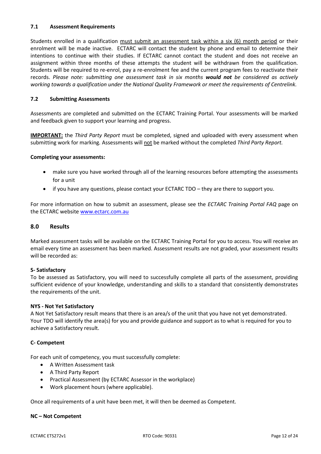## **7.1 Assessment Requirements**

Students enrolled in a qualification must submit an assessment task within a six (6) month period or their enrolment will be made inactive. ECTARC will contact the student by phone and email to determine their intentions to continue with their studies. If ECTARC cannot contact the student and does not receive an assignment within three months of these attempts the student will be withdrawn from the qualification. Students will be required to re-enrol, pay a re-enrolment fee and the current program fees to reactivate their records. *Please note: submitting one assessment task in six months would not be considered as actively working towards a qualification under the National Quality Framework or meet the requirements of Centrelink.*

## **7.2 Submitting Assessments**

Assessments are completed and submitted on the ECTARC Training Portal. Your assessments will be marked and feedback given to support your learning and progress.

**IMPORTANT:** the *Third Party Report* must be completed, signed and uploaded with every assessment when submitting work for marking*.* Assessments will not be marked without the completed *Third Party Report.* 

#### **Completing your assessments:**

- make sure you have worked through all of the learning resources before attempting the assessments for a unit
- if you have any questions, please contact your ECTARC TDO they are there to support you.

For more information on how to submit an assessment, please see the *ECTARC Training Portal FAQ* page on the ECTARC website [www.ectarc.com.au](http://www.ectarc.com.au/)

#### **8.0 Results**

Marked assessment tasks will be available on the ECTARC Training Portal for you to access. You will receive an email every time an assessment has been marked. Assessment results are not graded, your assessment results will be recorded as:

## **S- Satisfactory**

To be assessed as Satisfactory, you will need to successfully complete all parts of the assessment, providing sufficient evidence of your knowledge, understanding and skills to a standard that consistently demonstrates the requirements of the unit.

#### **NYS - Not Yet Satisfactory**

A Not Yet Satisfactory result means that there is an area/s of the unit that you have not yet demonstrated. Your TDO will identify the area(s) for you and provide guidance and support as to what is required for you to achieve a Satisfactory result.

#### **C- Competent**

For each unit of competency, you must successfully complete:

- A Written Assessment task
- A Third Party Report
- Practical Assessment (by ECTARC Assessor in the workplace)
- Work placement hours (where applicable).

Once all requirements of a unit have been met, it will then be deemed as Competent.

#### **NC – Not Competent**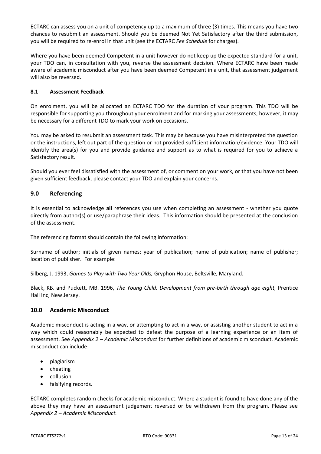ECTARC can assess you on a unit of competency up to a maximum of three (3) times. This means you have two chances to resubmit an assessment. Should you be deemed Not Yet Satisfactory after the third submission, you will be required to re-enrol in that unit (see the ECTARC *Fee Schedule* for charges).

Where you have been deemed Competent in a unit however do not keep up the expected standard for a unit, your TDO can, in consultation with you, reverse the assessment decision. Where ECTARC have been made aware of academic misconduct after you have been deemed Competent in a unit, that assessment judgement will also be reversed.

## **8.1 Assessment Feedback**

On enrolment, you will be allocated an ECTARC TDO for the duration of your program. This TDO will be responsible for supporting you throughout your enrolment and for marking your assessments, however, it may be necessary for a different TDO to mark your work on occasions.

You may be asked to resubmit an assessment task. This may be because you have misinterpreted the question or the instructions, left out part of the question or not provided sufficient information/evidence. Your TDO will identify the area(s) for you and provide guidance and support as to what is required for you to achieve a Satisfactory result.

Should you ever feel dissatisfied with the assessment of, or comment on your work, or that you have not been given sufficient feedback, please contact your TDO and explain your concerns.

## **9.0 Referencing**

It is essential to acknowledge **all** references you use when completing an assessment - whether you quote directly from author(s) or use/paraphrase their ideas. This information should be presented at the conclusion of the assessment.

The referencing format should contain the following information:

Surname of author; initials of given names; year of publication; name of publication; name of publisher; location of publisher. For example:

Silberg, J. 1993, *Games to Play with Two Year Olds,* Gryphon House, Beltsville, Maryland.

Black, KB. and Puckett, MB. 1996, *The Young Child: Development from pre-birth through age eight,* Prentice Hall Inc, New Jersey.

## **10.0 Academic Misconduct**

Academic misconduct is acting in a way, or attempting to act in a way, or assisting another student to act in a way which could reasonably be expected to defeat the purpose of a learning experience or an item of assessment. See *Appendix 2 – Academic Misconduct* for further definitions of academic misconduct. Academic misconduct can include:

- plagiarism
- cheating
- collusion
- falsifying records.

ECTARC completes random checks for academic misconduct. Where a student is found to have done any of the above they may have an assessment judgement reversed or be withdrawn from the program. Please see *Appendix 2 – Academic Misconduct.*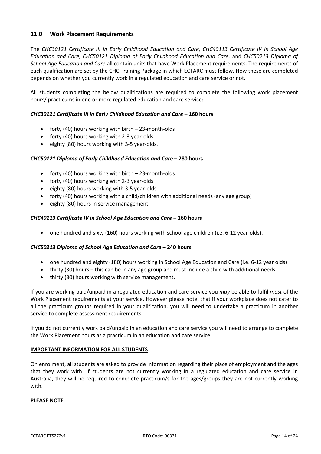## **11.0 Work Placement Requirements**

The *CHC30121 Certificate III in Early Childhood Education and Care*, *CHC40113 Certificate IV in School Age Education and Care, CHC50121 Diploma of Early Childhood Education and Care*, and *CHC50213 Diploma of School Age Education and Care* all contain units that have Work Placement requirements. The requirements of each qualification are set by the CHC Training Package in which ECTARC must follow. How these are completed depends on whether you currently work in a regulated education and care service or not.

All students completing the below qualifications are required to complete the following work placement hours/ practicums in one or more regulated education and care service:

## *CHC30121 Certificate III in Early Childhood Education and Care* **– 160 hours**

- forty (40) hours working with birth 23-month-olds
- forty (40) hours working with 2-3 year-olds
- eighty (80) hours working with 3-5 year-olds.

## *CHC50121 Diploma of Early Childhood Education and Care* **– 280 hours**

- forty (40) hours working with birth 23-month-olds
- forty (40) hours working with 2-3 year-olds
- eighty (80) hours working with 3-5 year-olds
- forty (40) hours working with a child/children with additional needs (any age group)
- eighty (80) hours in service management.

## *CHC40113 Certificate IV in School Age Education and Care* **– 160 hours**

• one hundred and sixty (160) hours working with school age children (i.e. 6-12 year-olds).

## *CHC50213 Diploma of School Age Education and Care* **– 240 hours**

- one hundred and eighty (180) hours working in School Age Education and Care (i.e. 6-12 year olds)
- thirty (30) hours this can be in any age group and must include a child with additional needs
- thirty (30) hours working with service management.

If you are working paid/unpaid in a regulated education and care service you *may* be able to fulfil *most* of the Work Placement requirements at your service. However please note, that if your workplace does not cater to all the practicum groups required in your qualification, you will need to undertake a practicum in another service to complete assessment requirements.

If you do not currently work paid/unpaid in an education and care service you will need to arrange to complete the Work Placement hours as a practicum in an education and care service.

#### **IMPORTANT INFORMATION FOR ALL STUDENTS**

On enrolment, all students are asked to provide information regarding their place of employment and the ages that they work with. If students are not currently working in a regulated education and care service in Australia, they will be required to complete practicum/s for the ages/groups they are not currently working with.

## **PLEASE NOTE**: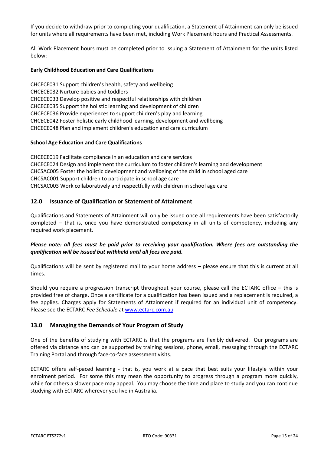If you decide to withdraw prior to completing your qualification, a Statement of Attainment can only be issued for units where all requirements have been met, including Work Placement hours and Practical Assessments.

All Work Placement hours must be completed prior to issuing a Statement of Attainment for the units listed below:

#### **Early Childhood Education and Care Qualifications**

CHCECE031 Support children's health, safety and wellbeing CHCECE032 Nurture babies and toddlers CHCECE033 Develop positive and respectful relationships with children CHCECE035 Support the holistic learning and development of children CHCECE036 Provide experiences to support children's play and learning CHCECE042 Foster holistic early childhood learning, development and wellbeing CHCECE048 Plan and implement children's education and care curriculum

#### **School Age Education and Care Qualifications**

CHCECE019 Facilitate compliance in an education and care services CHCECE024 Design and implement the curriculum to foster children's learning and development CHCSAC005 Foster the holistic development and wellbeing of the child in school aged care CHCSAC001 Support children to participate in school age care CHCSAC003 Work collaboratively and respectfully with children in school age care

## **12.0 Issuance of Qualification or Statement of Attainment**

Qualifications and Statements of Attainment will only be issued once all requirements have been satisfactorily completed – that is, once you have demonstrated competency in all units of competency, including any required work placement.

## *Please note: all fees must be paid prior to receiving your qualification. Where fees are outstanding the qualification will be issued but withheld until all fees are paid.*

Qualifications will be sent by registered mail to your home address – please ensure that this is current at all times.

Should you require a progression transcript throughout your course, please call the ECTARC office – this is provided free of charge. Once a certificate for a qualification has been issued and a replacement is required, a fee applies. Charges apply for Statements of Attainment if required for an individual unit of competency. Please see the ECTARC *Fee Schedule* at [www.ectarc.com.au](http://www.ectarc.com.au/)

## **13.0 Managing the Demands of Your Program of Study**

One of the benefits of studying with ECTARC is that the programs are flexibly delivered. Our programs are offered via distance and can be supported by training sessions, phone, email, messaging through the ECTARC Training Portal and through face-to-face assessment visits.

ECTARC offers self-paced learning - that is, you work at a pace that best suits your lifestyle within your enrolment period. For some this may mean the opportunity to progress through a program more quickly, while for others a slower pace may appeal. You may choose the time and place to study and you can continue studying with ECTARC wherever you live in Australia.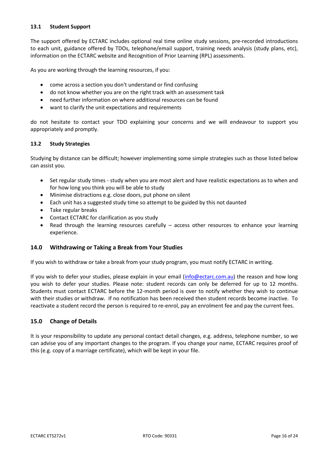## **13.1 Student Support**

The support offered by ECTARC includes optional real time online study sessions, pre-recorded introductions to each unit, guidance offered by TDOs, telephone/email support, training needs analysis (study plans, etc), information on the ECTARC website and Recognition of Prior Learning (RPL) assessments.

As you are working through the learning resources, if you:

- come across a section you don't understand or find confusing
- do not know whether you are on the right track with an assessment task
- need further information on where additional resources can be found
- want to clarify the unit expectations and requirements

do not hesitate to contact your TDO explaining your concerns and we will endeavour to support you appropriately and promptly.

## **13.2 Study Strategies**

Studying by distance can be difficult; however implementing some simple strategies such as those listed below can assist you.

- Set regular study times study when you are most alert and have realistic expectations as to when and for how long you think you will be able to study
- Minimise distractions e.g. close doors, put phone on silent
- Each unit has a suggested study time so attempt to be guided by this not daunted
- Take regular breaks
- Contact ECTARC for clarification as you study
- Read through the learning resources carefully access other resources to enhance your learning experience.

## **14.0 Withdrawing or Taking a Break from Your Studies**

If you wish to withdraw or take a break from your study program, you must notify ECTARC in writing.

If you wish to defer your studies, please explain in your email [\(info@ectarc.com.au\)](mailto:info@ectarc.com.au) the reason and how long you wish to defer your studies. Please note: student records can only be deferred for up to 12 months. Students must contact ECTARC before the 12-month period is over to notify whether they wish to continue with their studies or withdraw. If no notification has been received then student records become inactive. To reactivate a student record the person is required to re-enrol, pay an enrolment fee and pay the current fees.

## **15.0 Change of Details**

It is your responsibility to update any personal contact detail changes, e.g. address, telephone number, so we can advise you of any important changes to the program. If you change your name, ECTARC requires proof of this (e.g. copy of a marriage certificate), which will be kept in your file.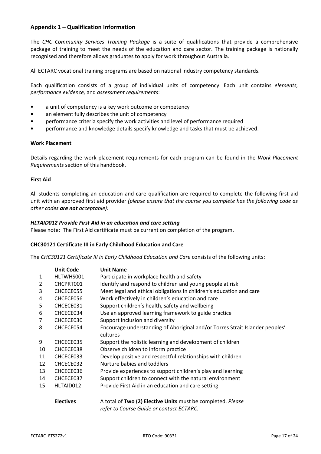## **Appendix 1 – Qualification Information**

The *CHC Community Services Training Package* is a suite of qualifications that provide a comprehensive package of training to meet the needs of the education and care sector. The training package is nationally recognised and therefore allows graduates to apply for work throughout Australia.

All ECTARC vocational training programs are based on national industry competency standards.

Each qualification consists of a group of individual units of competency. Each unit contains *elements, performance evidence,* and *assessment requirements*:

- a unit of competency is a key work outcome or competency
- an element fully describes the unit of competency
- performance criteria specify the work activities and level of performance required
- performance and knowledge details specify knowledge and tasks that must be achieved.

#### **Work Placement**

Details regarding the work placement requirements for each program can be found in the *Work Placement Requirements* section of this handbook.

#### **First Aid**

All students completing an education and care qualification are required to complete the following first aid unit with an approved first aid provider *(please ensure that the course you complete has the following code as other codes are not acceptable):*

#### *HLTAID012 Provide First Aid in an education and care setting*

Please note: The First Aid certificate must be current on completion of the program.

#### **CHC30121 Certificate III in Early Childhood Education and Care**

The *CHC30121 Certificate III in Early Childhood Education and Care* consists of the following units:

|    | <b>Unit Code</b> | <b>Unit Name</b>                                                                                        |
|----|------------------|---------------------------------------------------------------------------------------------------------|
| 1  | HLTWHS001        | Participate in workplace health and safety                                                              |
| 2  | CHCPRT001        | Identify and respond to children and young people at risk                                               |
| 3  | CHCECE055        | Meet legal and ethical obligations in children's education and care                                     |
| 4  | CHCECE056        | Work effectively in children's education and care                                                       |
| 5  | CHCECE031        | Support children's health, safety and wellbeing                                                         |
| 6  | CHCECE034        | Use an approved learning framework to guide practice                                                    |
| 7  | CHCECE030        | Support inclusion and diversity                                                                         |
| 8  | CHCECE054        | Encourage understanding of Aboriginal and/or Torres Strait Islander peoples'                            |
|    |                  | cultures                                                                                                |
| 9  | CHCECE035        | Support the holistic learning and development of children                                               |
| 10 | CHCECE038        | Observe children to inform practice                                                                     |
| 11 | CHCECE033        | Develop positive and respectful relationships with children                                             |
| 12 | CHCECE032        | Nurture babies and toddlers                                                                             |
| 13 | CHCECE036        | Provide experiences to support children's play and learning                                             |
| 14 | CHCECE037        | Support children to connect with the natural environment                                                |
| 15 | HLTAID012        | Provide First Aid in an education and care setting                                                      |
|    | <b>Electives</b> | A total of Two (2) Elective Units must be completed. Please<br>refer to Course Guide or contact ECTARC. |
|    |                  |                                                                                                         |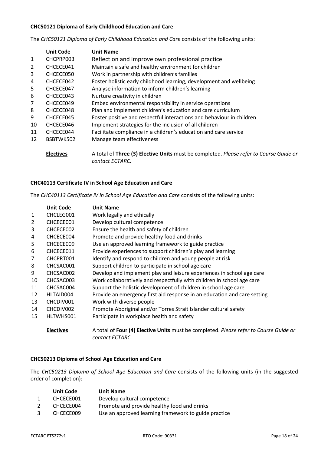## **CHC50121 Diploma of Early Childhood Education and Care**

The *CHC50121 Diploma of Early Childhood Education and Care* consists of the following units:

|    | <b>Unit Code</b> | <b>Unit Name</b>                                                                                          |
|----|------------------|-----------------------------------------------------------------------------------------------------------|
| 1  | CHCPRP003        | Reflect on and improve own professional practice                                                          |
| 2  | CHCECE041        | Maintain a safe and healthy environment for children                                                      |
| 3  | CHCECE050        | Work in partnership with children's families                                                              |
| 4  | CHCECE042        | Foster holistic early childhood learning, development and wellbeing                                       |
| 5  | CHCECE047        | Analyse information to inform children's learning                                                         |
| 6  | CHCECE043        | Nurture creativity in children                                                                            |
| 7  | CHCECE049        | Embed environmental responsibility in service operations                                                  |
| 8  | CHCECE048        | Plan and implement children's education and care curriculum                                               |
| 9  | CHCECE045        | Foster positive and respectful interactions and behaviour in children                                     |
| 10 | CHCECE046        | Implement strategies for the inclusion of all children                                                    |
| 11 | CHCECE044        | Facilitate compliance in a children's education and care service                                          |
| 12 | BSBTWK502        | Manage team effectiveness                                                                                 |
|    | <b>Electives</b> | A total of Three (3) Elective Units must be completed. Please refer to Course Guide or<br>contact ECTARC. |

## **CHC40113 Certificate IV in School Age Education and Care**

The *CHC40113 Certificate IV in School Age Education and Care* consists of the following units:

|              | <b>Unit Code</b> | <b>Unit Name</b>                                                                                         |
|--------------|------------------|----------------------------------------------------------------------------------------------------------|
| $\mathbf{1}$ | CHCLEG001        | Work legally and ethically                                                                               |
| 2            | CHCECE001        | Develop cultural competence                                                                              |
| 3            | CHCECE002        | Ensure the health and safety of children                                                                 |
| 4            | CHCECE004        | Promote and provide healthy food and drinks                                                              |
| 5            | CHCECE009        | Use an approved learning framework to guide practice                                                     |
| 6            | CHCECE011        | Provide experiences to support children's play and learning                                              |
| 7            | CHCPRT001        | Identify and respond to children and young people at risk                                                |
| 8            | CHCSAC001        | Support children to participate in school age care                                                       |
| 9            | CHCSAC002        | Develop and implement play and leisure experiences in school age care                                    |
| 10           | CHCSAC003        | Work collaboratively and respectfully with children in school age care                                   |
| 11           | CHCSAC004        | Support the holistic development of children in school age care                                          |
| 12           | HLTAID004        | Provide an emergency first aid response in an education and care setting                                 |
| 13           | CHCDIV001        | Work with diverse people                                                                                 |
| 14           | CHCDIV002        | Promote Aboriginal and/or Torres Strait Islander cultural safety                                         |
| 15           | HLTWHS001        | Participate in workplace health and safety                                                               |
|              | <b>Electives</b> | A total of Four (4) Elective Units must be completed. Please refer to Course Guide or<br>contact ECTARC. |

## **CHC50213 Diploma of School Age Education and Care**

The *CHC50213 Diploma of School Age Education and Care* consists of the following units (in the suggested order of completion):

| <b>Unit Code</b> | <b>Unit Name</b>                                     |
|------------------|------------------------------------------------------|
| CHCECE001        | Develop cultural competence                          |
| CHCECE004        | Promote and provide healthy food and drinks          |
| CHCECE009        | Use an approved learning framework to guide practice |
|                  |                                                      |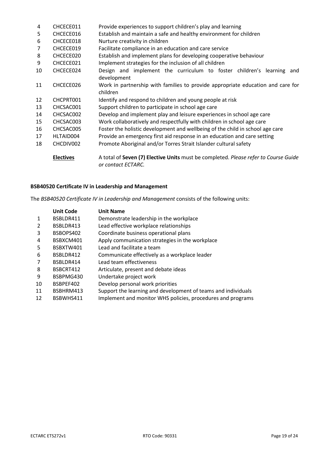| 4  | CHCECE011        | Provide experiences to support children's play and learning                                               |
|----|------------------|-----------------------------------------------------------------------------------------------------------|
| 5  | CHCECE016        | Establish and maintain a safe and healthy environment for children                                        |
| 6  | CHCECE018        | Nurture creativity in children                                                                            |
| 7  | CHCECE019        | Facilitate compliance in an education and care service                                                    |
| 8  | CHCECE020        | Establish and implement plans for developing cooperative behaviour                                        |
| 9  | CHCECE021        | Implement strategies for the inclusion of all children                                                    |
| 10 | CHCECE024        | Design and implement the curriculum to foster children's learning and<br>development                      |
| 11 | CHCECE026        | Work in partnership with families to provide appropriate education and care for<br>children               |
| 12 | CHCPRT001        | Identify and respond to children and young people at risk                                                 |
| 13 | CHCSAC001        | Support children to participate in school age care                                                        |
| 14 | CHCSAC002        | Develop and implement play and leisure experiences in school age care                                     |
| 15 | CHCSAC003        | Work collaboratively and respectfully with children in school age care                                    |
| 16 | CHCSAC005        | Foster the holistic development and wellbeing of the child in school age care                             |
| 17 | HLTAID004        | Provide an emergency first aid response in an education and care setting                                  |
| 18 | CHCDIV002        | Promote Aboriginal and/or Torres Strait Islander cultural safety                                          |
|    | <b>Electives</b> | A total of Seven (7) Elective Units must be completed. Please refer to Course Guide<br>or contact ECTARC. |

## **BSB40520 Certificate IV in Leadership and Management**

The *BSB40520 Certificate IV in Leadership and Management* consists of the following units:

|                | <b>Unit Code</b> | <b>Unit Name</b>                                              |
|----------------|------------------|---------------------------------------------------------------|
| 1              | BSBLDR411        | Demonstrate leadership in the workplace                       |
| 2              | BSBLDR413        | Lead effective workplace relationships                        |
| 3              | BSBOPS402        | Coordinate business operational plans                         |
| 4              | BSBXCM401        | Apply communication strategies in the workplace               |
| 5              | BSBXTW401        | Lead and facilitate a team                                    |
| 6              | BSBLDR412        | Communicate effectively as a workplace leader                 |
| $\overline{7}$ | BSBLDR414        | Lead team effectiveness                                       |
| 8              | BSBCRT412        | Articulate, present and debate ideas                          |
| 9              | BSBPMG430        | Undertake project work                                        |
| 10             | BSBPEF402        | Develop personal work priorities                              |
| 11             | BSBHRM413        | Support the learning and development of teams and individuals |
| 12             | BSBWHS411        | Implement and monitor WHS policies, procedures and programs   |
|                |                  |                                                               |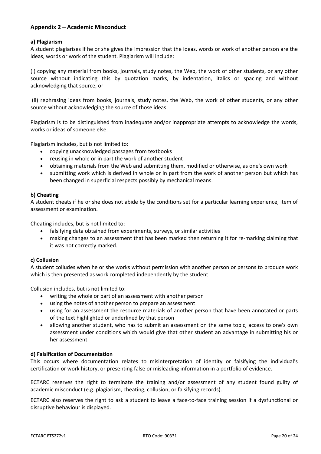## **Appendix 2 – Academic Misconduct**

## **a) Plagiarism**

A student plagiarises if he or she gives the impression that the ideas, words or work of another person are the ideas, words or work of the student. Plagiarism will include:

(i) copying any material from books, journals, study notes, the Web, the work of other students, or any other source without indicating this by quotation marks, by indentation, italics or spacing and without acknowledging that source, or

(ii) rephrasing ideas from books, journals, study notes, the Web, the work of other students, or any other source without acknowledging the source of those ideas.

Plagiarism is to be distinguished from inadequate and/or inappropriate attempts to acknowledge the words, works or ideas of someone else.

Plagiarism includes, but is not limited to:

- copying unacknowledged passages from textbooks
- reusing in whole or in part the work of another student
- obtaining materials from the Web and submitting them, modified or otherwise, as one's own work
- submitting work which is derived in whole or in part from the work of another person but which has been changed in superficial respects possibly by mechanical means.

## **b) Cheating**

A student cheats if he or she does not abide by the conditions set for a particular learning experience, item of assessment or examination.

Cheating includes, but is not limited to:

- falsifying data obtained from experiments, surveys, or similar activities
- making changes to an assessment that has been marked then returning it for re-marking claiming that it was not correctly marked.

#### **c) Collusion**

A student colludes when he or she works without permission with another person or persons to produce work which is then presented as work completed independently by the student.

Collusion includes, but is not limited to:

- writing the whole or part of an assessment with another person
- using the notes of another person to prepare an assessment
- using for an assessment the resource materials of another person that have been annotated or parts of the text highlighted or underlined by that person
- allowing another student, who has to submit an assessment on the same topic, access to one's own assessment under conditions which would give that other student an advantage in submitting his or her assessment.

## **d) Falsification of Documentation**

This occurs where documentation relates to misinterpretation of identity or falsifying the individual's certification or work history, or presenting false or misleading information in a portfolio of evidence.

ECTARC reserves the right to terminate the training and/or assessment of any student found guilty of academic misconduct (e.g. plagiarism, cheating, collusion, or falsifying records).

ECTARC also reserves the right to ask a student to leave a face-to-face training session if a dysfunctional or disruptive behaviour is displayed.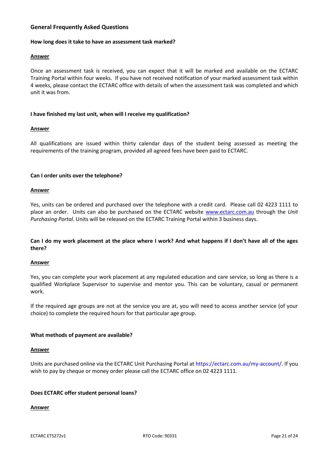## **General Frequently Asked Questions**

#### **How long does it take to have an assessment task marked?**

#### **Answer**

Once an assessment task is received, you can expect that it will be marked and available on the ECTARC Training Portal within four weeks. If you have not received notification of your marked assessment task within 4 weeks, please contact the ECTARC office with details of when the assessment task was completed and which unit it was from.

#### **I have finished my last unit, when will I receive my qualification?**

#### **Answer**

All qualifications are issued within thirty calendar days of the student being assessed as meeting the requirements of the training program, provided all agreed fees have been paid to ECTARC.

#### **Can I order units over the telephone?**

#### **Answer**

Yes, units can be ordered and purchased over the telephone with a credit card. Please call 02 4223 1111 to place an order. Units can also be purchased on the ECTARC website [www.ectarc.com.au](http://www.ectarc.com.au/) through the *Unit Purchasing Portal*. Units will be released on the ECTARC Training Portal within 3 business days.

## **Can I do my work placement at the place where I work? And what happens if I don't have all of the ages there?**

#### **Answer**

Yes, you can complete your work placement at any regulated education and care service, so long as there is a qualified Workplace Supervisor to supervise and mentor you. This can be voluntary, casual or permanent work.

If the required age groups are not at the service you are at, you will need to access another service (of your choice) to complete the required hours for that particular age group.

## **What methods of payment are available?**

#### **Answer**

Units are purchased online via the ECTARC Unit Purchasing Portal at [https://ectarc.com.au/my-account/.](https://ectarc.com.au/my-account/) If you wish to pay by cheque or money order please call the ECTARC office on 02 4223 1111.

## **Does ECTARC offer student personal loans?**

## **Answer**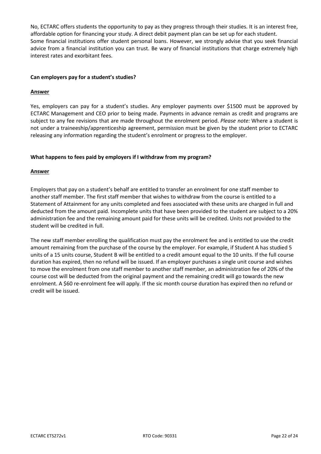No, ECTARC offers students the opportunity to pay as they progress through their studies. It is an interest free, affordable option for financing your study. A direct debit payment plan can be set up for each student. Some financial institutions offer student personal loans. However, we strongly advise that you seek financial advice from a financial institution you can trust. Be wary of financial institutions that charge extremely high interest rates and exorbitant fees.

## **Can employers pay for a student's studies?**

## **Answer**

Yes, employers can pay for a student's studies. Any employer payments over \$1500 must be approved by ECTARC Management and CEO prior to being made. Payments in advance remain as credit and programs are subject to any fee revisions that are made throughout the enrolment period. *Please note:* Where a student is not under a traineeship/apprenticeship agreement, permission must be given by the student prior to ECTARC releasing any information regarding the student's enrolment or progress to the employer.

## **What happens to fees paid by employers if I withdraw from my program?**

## **Answer**

Employers that pay on a student's behalf are entitled to transfer an enrolment for one staff member to another staff member. The first staff member that wishes to withdraw from the course is entitled to a Statement of Attainment for any units completed and fees associated with these units are charged in full and deducted from the amount paid. Incomplete units that have been provided to the student are subject to a 20% administration fee and the remaining amount paid for these units will be credited. Units not provided to the student will be credited in full.

The new staff member enrolling the qualification must pay the enrolment fee and is entitled to use the credit amount remaining from the purchase of the course by the employer. For example, if Student A has studied 5 units of a 15 units course, Student B will be entitled to a credit amount equal to the 10 units. If the full course duration has expired, then no refund will be issued. If an employer purchases a single unit course and wishes to move the enrolment from one staff member to another staff member, an administration fee of 20% of the course cost will be deducted from the original payment and the remaining credit will go towards the new enrolment. A \$60 re-enrolment fee will apply. If the sic month course duration has expired then no refund or credit will be issued.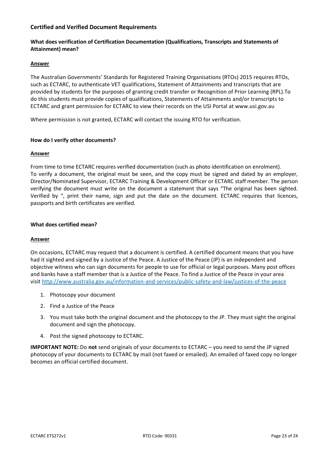## **Certified and Verified Document Requirements**

## **What does verification of Certification Documentation (Qualifications, Transcripts and Statements of Attainment) mean?**

#### **Answer**

The Australian Governments' Standards for Registered Training Organisations (RTOs) 2015 requires RTOs, such as ECTARC, to authenticate VET qualifications, Statement of Attainments and transcripts that are provided by students for the purposes of granting credit transfer or Recognition of Prior Learning (RPL).To do this students must provide copies of qualifications, Statements of Attainments and/or transcripts to ECTARC and grant permission for ECTARC to view their records on the USI Portal at www.usi.gov.au

Where permission is not granted, ECTARC will contact the issuing RTO for verification.

## **How do I verify other documents?**

## **Answer**

From time to time ECTARC requires verified documentation (such as photo identification on enrolment). To verify a document, the original must be seen, and the copy must be signed and dated by an employer, Director/Nominated Supervisor, ECTARC Training & Development Officer or ECTARC staff member. The person verifying the document must write on the document a statement that says "The original has been sighted. Verified by ", print their name, sign and put the date on the document. ECTARC requires that licences, passports and birth certificates are verified.

#### **What does certified mean?**

## **Answer**

On occasions, ECTARC may request that a document is certified. A certified document means that you have had it sighted and signed by a Justice of the Peace. A Justice of the Peace (JP) is an independent and objective witness who can sign documents for people to use for official or legal purposes. Many post offices and banks have a staff member that is a Justice of the Peace. To find a Justice of the Peace in your area visit <http://www.australia.gov.au/information-and-services/public-safety-and-law/justices-of-the-peace>

- 1. Photocopy your document
- 2. Find a Justice of the Peace
- 3. You must take both the original document and the photocopy to the JP. They must sight the original document and sign the photocopy.
- 4. Post the signed photocopy to ECTARC.

**IMPORTANT NOTE:** Do **not** send originals of your documents to ECTARC – you need to send the JP signed photocopy of your documents to ECTARC by mail (not faxed or emailed). An emailed of faxed copy no longer becomes an official certified document.